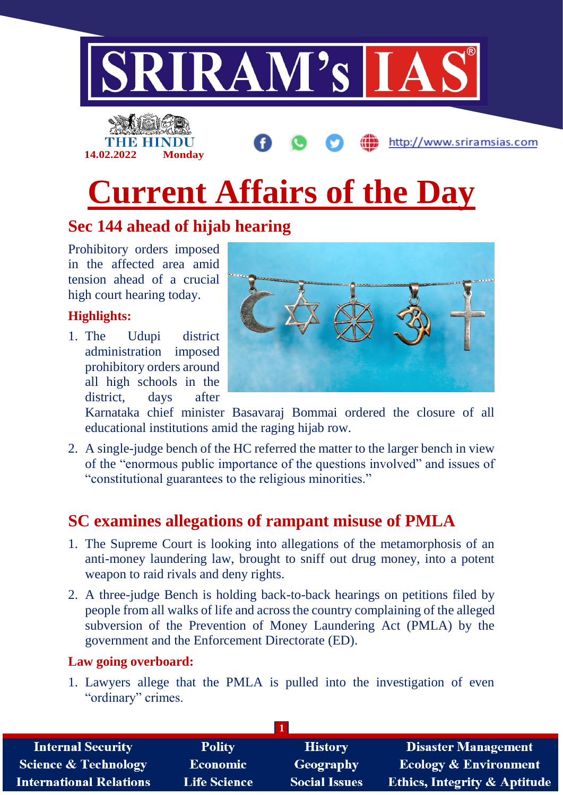

# **Current Affairs of the Day**

## **Sec 144 ahead of hijab hearing**

Prohibitory orders imposed in the affected area amid tension ahead of a crucial high court hearing today.

**14.02.2022 Monday**

### **Highlights:**

1. The Udupi district administration imposed prohibitory orders around all high schools in the district, days after



http://www.sriramsias.com

Karnataka chief minister Basavaraj Bommai ordered the closure of all educational institutions amid the raging hijab row.

2. A single-judge bench of the HC referred the matter to the larger bench in view of the "enormous public importance of the questions involved" and issues of "constitutional guarantees to the religious minorities."

## **SC examines allegations of rampant misuse of PMLA**

- 1. The Supreme Court is looking into allegations of the metamorphosis of an anti-money laundering law, brought to sniff out drug money, into a potent weapon to raid rivals and deny rights.
- 2. A three-judge Bench is holding back-to-back hearings on petitions filed by people from all walks of life and across the country complaining of the alleged subversion of the Prevention of Money Laundering Act (PMLA) by the government and the Enforcement Directorate (ED).

#### **Law going overboard:**

1. Lawyers allege that the PMLA is pulled into the investigation of even "ordinary" crimes.

| <b>Internal Security</b>        | <b>Polity</b>       | <b>History</b>       | <b>Disaster Management</b>              |
|---------------------------------|---------------------|----------------------|-----------------------------------------|
| <b>Science &amp; Technology</b> | <b>Economic</b>     | <b>Geography</b>     | <b>Ecology &amp; Environment</b>        |
| <b>International Relations</b>  | <b>Life Science</b> | <b>Social Issues</b> | <b>Ethics, Integrity &amp; Aptitude</b> |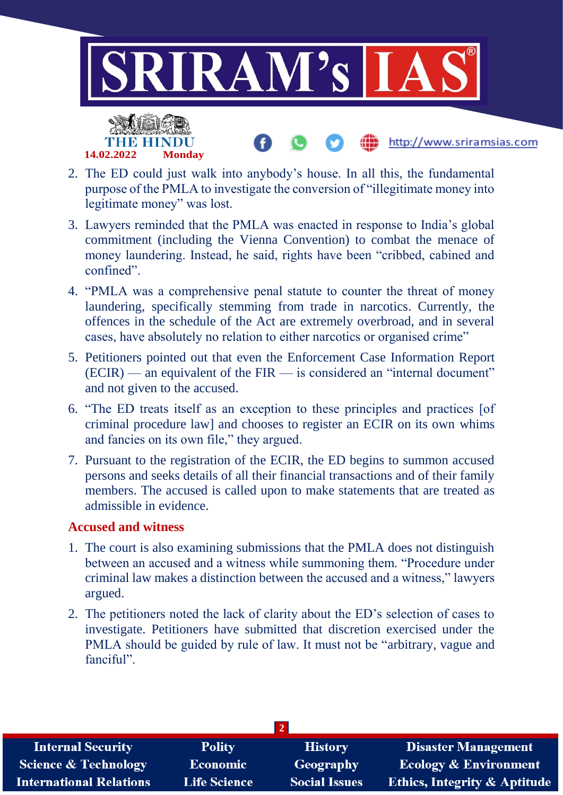

- 2. The ED could just walk into anybody's house. In all this, the fundamental purpose of the PMLA to investigate the conversion of "illegitimate money into legitimate money" was lost.
- 3. Lawyers reminded that the PMLA was enacted in response to India's global commitment (including the Vienna Convention) to combat the menace of money laundering. Instead, he said, rights have been "cribbed, cabined and confined".
- 4. "PMLA was a comprehensive penal statute to counter the threat of money laundering, specifically stemming from trade in narcotics. Currently, the offences in the schedule of the Act are extremely overbroad, and in several cases, have absolutely no relation to either narcotics or organised crime"
- 5. Petitioners pointed out that even the Enforcement Case Information Report  $(ECIR)$  — an equivalent of the FIR — is considered an "internal document" and not given to the accused.
- 6. "The ED treats itself as an exception to these principles and practices [of criminal procedure law] and chooses to register an ECIR on its own whims and fancies on its own file," they argued.
- 7. Pursuant to the registration of the ECIR, the ED begins to summon accused persons and seeks details of all their financial transactions and of their family members. The accused is called upon to make statements that are treated as admissible in evidence.

#### **Accused and witness**

**14.02.2022 Monday**

- 1. The court is also examining submissions that the PMLA does not distinguish between an accused and a witness while summoning them. "Procedure under criminal law makes a distinction between the accused and a witness," lawyers argued.
- 2. The petitioners noted the lack of clarity about the ED's selection of cases to investigate. Petitioners have submitted that discretion exercised under the PMLA should be guided by rule of law. It must not be "arbitrary, vague and fanciful".

| <b>Internal Security</b>        | <b>Polity</b>       | <b>History</b>       | <b>Disaster Management</b>              |  |
|---------------------------------|---------------------|----------------------|-----------------------------------------|--|
| <b>Science &amp; Technology</b> | <b>Economic</b>     | <b>Geography</b>     | <b>Ecology &amp; Environment</b>        |  |
| <b>International Relations</b>  | <b>Life Science</b> | <b>Social Issues</b> | <b>Ethics, Integrity &amp; Aptitude</b> |  |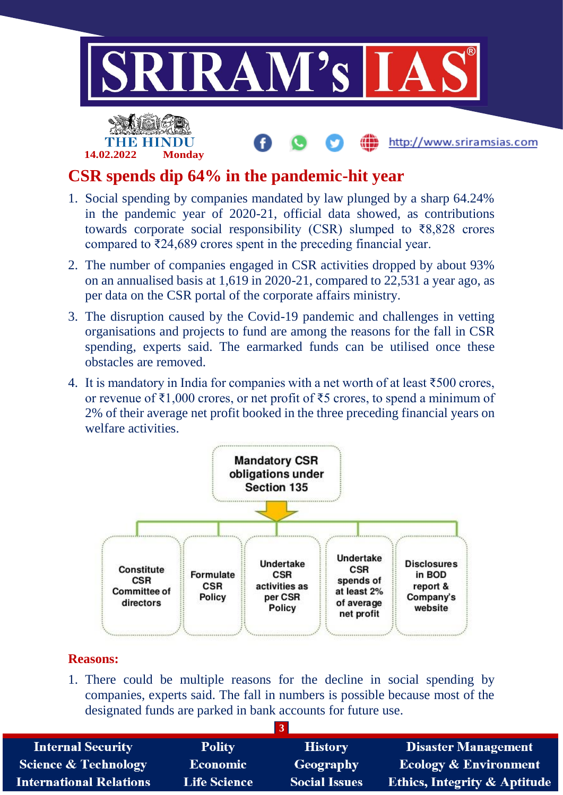

## **CSR spends dip 64% in the pandemic-hit year**

**14.02.2022 Monday**

- 1. Social spending by companies mandated by law plunged by a sharp 64.24% in the pandemic year of 2020-21, official data showed, as contributions towards corporate social responsibility (CSR) slumped to  $\overline{88,828}$  crores compared to ₹24,689 crores spent in the preceding financial year.
- 2. The number of companies engaged in CSR activities dropped by about 93% on an annualised basis at 1,619 in 2020-21, compared to 22,531 a year ago, as per data on the CSR portal of the corporate affairs ministry.
- 3. The disruption caused by the Covid-19 pandemic and challenges in vetting organisations and projects to fund are among the reasons for the fall in CSR spending, experts said. The earmarked funds can be utilised once these obstacles are removed.
- 4. It is mandatory in India for companies with a net worth of at least ₹500 crores, or revenue of ₹1,000 crores, or net profit of ₹5 crores, to spend a minimum of 2% of their average net profit booked in the three preceding financial years on welfare activities.



#### **Reasons:**

1. There could be multiple reasons for the decline in social spending by companies, experts said. The fall in numbers is possible because most of the designated funds are parked in bank accounts for future use.

| <b>Internal Security</b>        | <b>Polity</b>       | <b>History</b>       | <b>Disaster Management</b>              |
|---------------------------------|---------------------|----------------------|-----------------------------------------|
| <b>Science &amp; Technology</b> | Economic            | Geography            | <b>Ecology &amp; Environment</b>        |
| <b>International Relations</b>  | <b>Life Science</b> | <b>Social Issues</b> | <b>Ethics, Integrity &amp; Aptitude</b> |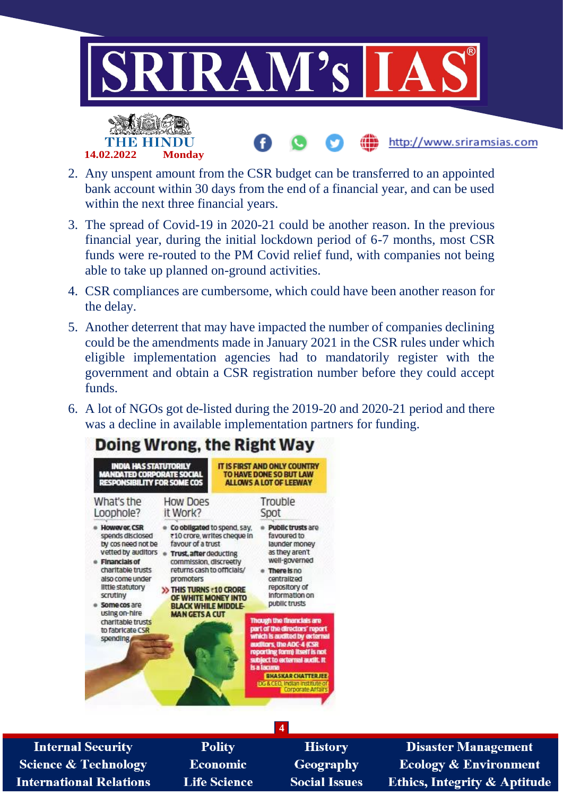

2. Any unspent amount from the CSR budget can be transferred to an appointed bank account within 30 days from the end of a financial year, and can be used within the next three financial years.

**14.02.2022 Monday**

- 3. The spread of Covid-19 in 2020-21 could be another reason. In the previous financial year, during the initial lockdown period of 6-7 months, most CSR funds were re-routed to the PM Covid relief fund, with companies not being able to take up planned on-ground activities.
- 4. CSR compliances are cumbersome, which could have been another reason for the delay.
- 5. Another deterrent that may have impacted the number of companies declining could be the amendments made in January 2021 in the CSR rules under which eligible implementation agencies had to mandatorily register with the government and obtain a CSR registration number before they could accept funds.
- 6. A lot of NGOs got de-listed during the 2019-20 and 2020-21 period and there was a decline in available implementation partners for funding.



**Internal Security Science & Technology International Relations** 

- **Polity Economic Life Science**
- **History** Geography **Social Issues**

**Disaster Management Ecology & Environment Ethics, Integrity & Aptitude**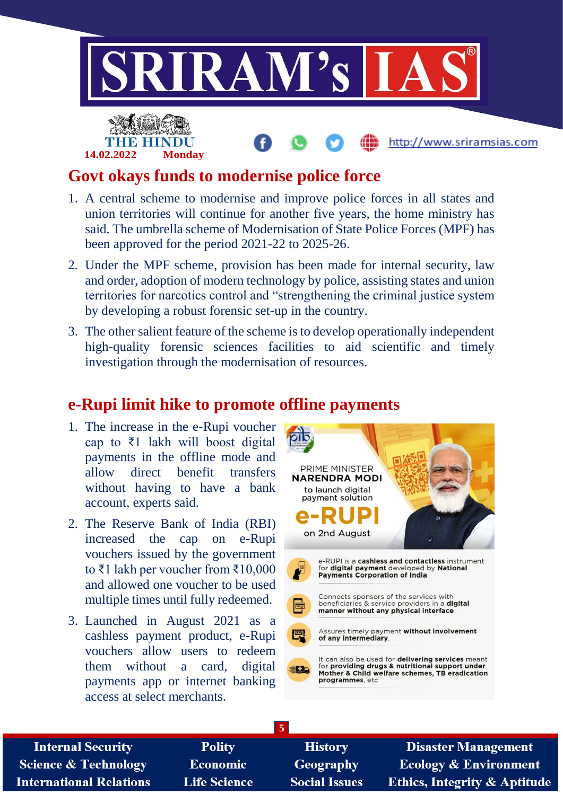

## **Govt okays funds to modernise police force**

**14.02.2022 Monday**

- 1. A central scheme to modernise and improve police forces in all states and union territories will continue for another five years, the home ministry has said. The umbrella scheme of Modernisation of State Police Forces (MPF) has been approved for the period 2021-22 to 2025-26.
- 2. Under the MPF scheme, provision has been made for internal security, law and order, adoption of modern technology by police, assisting states and union territories for narcotics control and "strengthening the criminal justice system by developing a robust forensic set-up in the country.
- 3. The other salient feature of the scheme is to develop operationally independent high-quality forensic sciences facilities to aid scientific and timely investigation through the modernisation of resources.

## **e-Rupi limit hike to promote offline payments**

- 1. The increase in the e-Rupi voucher cap to ₹1 lakh will boost digital payments in the offline mode and allow direct benefit transfers without having to have a bank account, experts said.
- 2. The Reserve Bank of India (RBI) increased the cap on e-Rupi vouchers issued by the government to ₹1 lakh per voucher from ₹10,000 and allowed one voucher to be used multiple times until fully redeemed.
- 3. Launched in August 2021 as a cashless payment product, e-Rupi vouchers allow users to redeem them without a card, digital payments app or internet banking access at select merchants.



| <b>Internal Security</b>        | <b>Polity</b>       | <b>History</b>       | <b>Disaster Management</b>              |
|---------------------------------|---------------------|----------------------|-----------------------------------------|
| <b>Science &amp; Technology</b> | <b>Economic</b>     | Geography            | <b>Ecology &amp; Environment</b>        |
| <b>International Relations</b>  | <b>Life Science</b> | <b>Social Issues</b> | <b>Ethics, Integrity &amp; Aptitude</b> |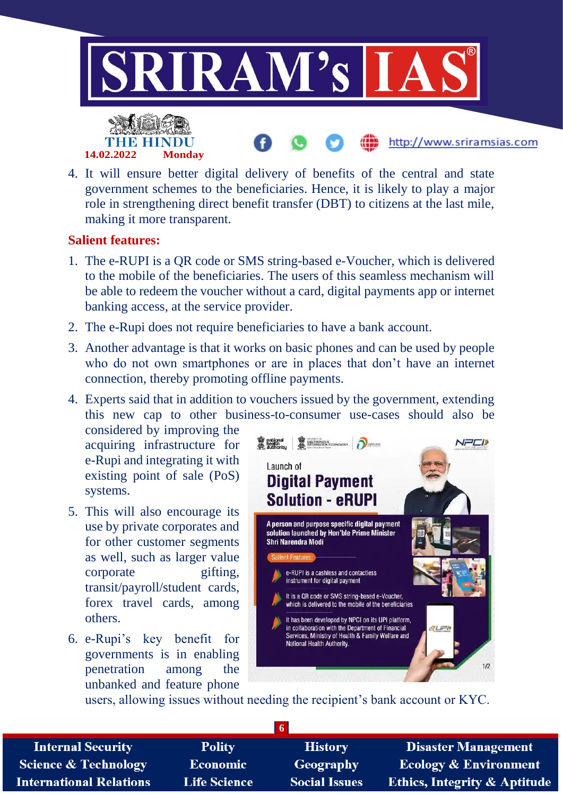

4. It will ensure better digital delivery of benefits of the central and state government schemes to the beneficiaries. Hence, it is likely to play a major role in strengthening direct benefit transfer (DBT) to citizens at the last mile, making it more transparent.

#### **Salient features:**

- 1. The e-RUPI is a QR code or SMS string-based e-Voucher, which is delivered to the mobile of the beneficiaries. The users of this seamless mechanism will be able to redeem the voucher without a card, digital payments app or internet banking access, at the service provider.
- 2. The e-Rupi does not require beneficiaries to have a bank account.
- 3. Another advantage is that it works on basic phones and can be used by people who do not own smartphones or are in places that don't have an internet connection, thereby promoting offline payments.
- 4. Experts said that in addition to vouchers issued by the government, extending this new cap to other business-to-consumer use-cases should also be

considered by improving the acquiring infrastructure for e-Rupi and integrating it with existing point of sale (PoS) systems.

- 5. This will also encourage its use by private corporates and for other customer segments as well, such as larger value corporate gifting, transit/payroll/student cards, forex travel cards, among others.
- 6. e-Rupi's key benefit for governments is in enabling penetration among the unbanked and feature phone



users, allowing issues without needing the recipient's bank account or KYC.

| <b>Internal Security</b>        | <b>Polity</b>       | <b>History</b>       | <b>Disaster Management</b>              |
|---------------------------------|---------------------|----------------------|-----------------------------------------|
| <b>Science &amp; Technology</b> | Economic            | <b>Geography</b>     | <b>Ecology &amp; Environment</b>        |
| <b>International Relations</b>  | <b>Life Science</b> | <b>Social Issues</b> | <b>Ethics, Integrity &amp; Aptitude</b> |